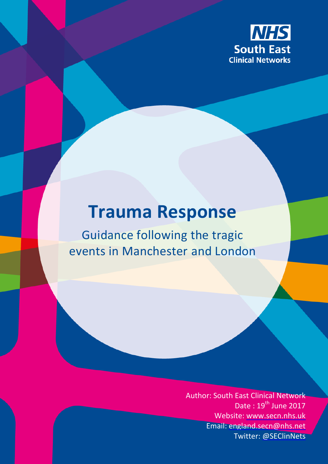

# **Trauma Response**

Guidance following the tragic events in Manchester and London

> Author: South East Clinical Network Date:  $19^{th}$  June 2017 Website: [www.secn.nhs.uk](http://www.secn.nhs.uk/) Email: [england.secn@nhs.net](mailto:england.secn@nhs.net) Twitter: [@SEClinNets](https://twitter.com/SEClinNets)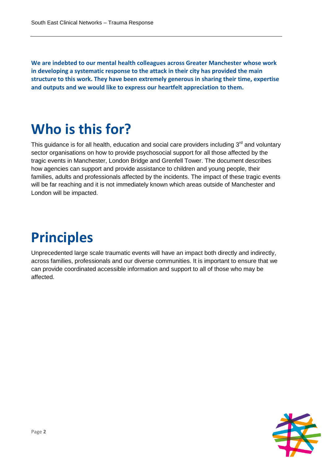**We are indebted to our mental health colleagues across Greater Manchester whose work in developing a systematic response to the attack in their city has provided the main structure to this work. They have been extremely generous in sharing their time, expertise and outputs and we would like to express our heartfelt appreciation to them.**

## **Who is this for?**

This guidance is for all health, education and social care providers including  $3<sup>rd</sup>$  and voluntary sector organisations on how to provide psychosocial support for all those affected by the tragic events in Manchester, London Bridge and Grenfell Tower. The document describes how agencies can support and provide assistance to children and young people, their families, adults and professionals affected by the incidents. The impact of these tragic events will be far reaching and it is not immediately known which areas outside of Manchester and London will be impacted.

# **Principles**

Unprecedented large scale traumatic events will have an impact both directly and indirectly, across families, professionals and our diverse communities. It is important to ensure that we can provide coordinated accessible information and support to all of those who may be affected.

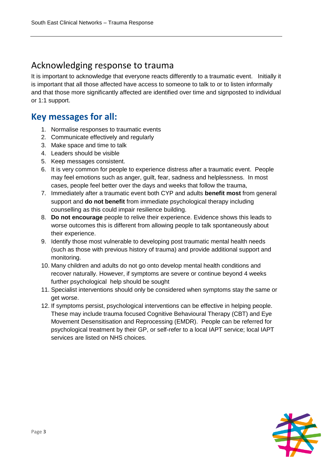### Acknowledging response to trauma

It is important to acknowledge that everyone reacts differently to a traumatic event. Initially it is important that all those affected have access to someone to talk to or to listen informally and that those more significantly affected are identified over time and signposted to individual or 1:1 support.

### **Key messages for all:**

- 1. Normalise responses to traumatic events
- 2. Communicate effectively and regularly
- 3. Make space and time to talk
- 4. Leaders should be visible
- 5. Keep messages consistent.
- 6. It is very common for people to experience distress after a traumatic event. People may feel emotions such as anger, guilt, fear, sadness and helplessness. In most cases, people feel better over the days and weeks that follow the trauma,
- 7. Immediately after a traumatic event both CYP and adults **benefit most** from general support and **do not benefit** from immediate psychological therapy including counselling as this could impair resilience building.
- 8. **Do not encourage** people to relive their experience. Evidence shows this leads to worse outcomes this is different from allowing people to talk spontaneously about their experience.
- 9. Identify those most vulnerable to developing post traumatic mental health needs (such as those with previous history of trauma) and provide additional support and monitoring.
- 10. Many children and adults do not go onto develop mental health conditions and recover naturally. However, if symptoms are severe or continue beyond 4 weeks further psychological help should be sought
- 11. Specialist interventions should only be considered when symptoms stay the same or get worse.
- 12. If symptoms persist, psychological interventions can be effective in helping people. These may include trauma focused Cognitive Behavioural Therapy (CBT) and Eye Movement Desensitisation and Reprocessing (EMDR). People can be referred for psychological treatment by their GP, or self-refer to a local IAPT service; local IAPT services are listed on NHS choices.

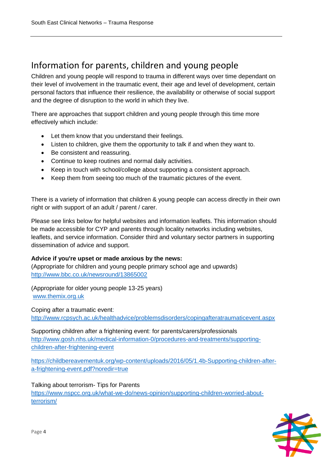### Information for parents, children and young people

Children and young people will respond to trauma in different ways over time dependant on their level of involvement in the traumatic event, their age and level of development, certain personal factors that influence their resilience, the availability or otherwise of social support and the degree of disruption to the world in which they live.

There are approaches that support children and young people through this time more effectively which include:

- Let them know that you understand their feelings.
- Listen to children, give them the opportunity to talk if and when they want to.
- Be consistent and reassuring.
- Continue to keep routines and normal daily activities.
- Keep in touch with school/college about supporting a consistent approach.
- Keep them from seeing too much of the traumatic pictures of the event.

There is a variety of information that children & young people can access directly in their own right or with support of an adult / parent / carer.

Please see links below for helpful websites and information leaflets. This information should be made accessible for CYP and parents through locality networks including websites, leaflets, and service information. Consider third and voluntary sector partners in supporting dissemination of advice and support.

#### **Advice if you're upset or made anxious by the news:**

(Appropriate for children and young people primary school age and upwards) <http://www.bbc.co.uk/newsround/13865002>

(Appropriate for older young people 13-25 years) [www.themix.org.uk](http://www.themix.org.uk/)

Coping after a traumatic event: <http://www.rcpsych.ac.uk/healthadvice/problemsdisorders/copingafteratraumaticevent.aspx>

Supporting children after a frightening event: for parents/carers/professionals [http://www.gosh.nhs.uk/medical-information-0/procedures-and-treatments/supporting](http://www.gosh.nhs.uk/medical-information-0/procedures-and-treatments/supporting-children-after-frightening-event)[children-after-frightening-event](http://www.gosh.nhs.uk/medical-information-0/procedures-and-treatments/supporting-children-after-frightening-event)

[https://childbereavementuk.org/wp-content/uploads/2016/05/1.4b-Supporting-children-after](https://childbereavementuk.org/wp-content/uploads/2016/05/1.4b-Supporting-children-after-a-frightening-event.pdf?noredir=true)[a-frightening-event.pdf?noredir=true](https://childbereavementuk.org/wp-content/uploads/2016/05/1.4b-Supporting-children-after-a-frightening-event.pdf?noredir=true)

Talking about terrorism- Tips for Parents

[https://www.nspcc.org.uk/what-we-do/news-opinion/supporting-children-worried-about](https://www.nspcc.org.uk/what-we-do/news-opinion/supporting-children-worried-about-terrorism/)[terrorism/](https://www.nspcc.org.uk/what-we-do/news-opinion/supporting-children-worried-about-terrorism/)

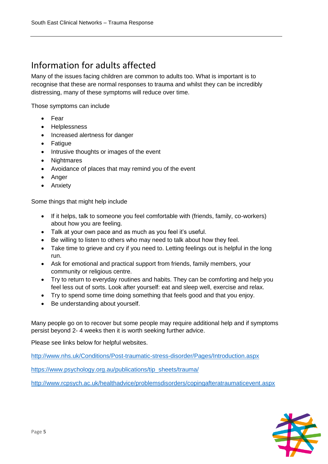### Information for adults affected

Many of the issues facing children are common to adults too. What is important is to recognise that these are normal responses to trauma and whilst they can be incredibly distressing, many of these symptoms will reduce over time.

Those symptoms can include

- Fear
- Helplessness
- Increased alertness for danger
- Fatigue
- Intrusive thoughts or images of the event
- Nightmares
- Avoidance of places that may remind you of the event
- Anger
- Anxiety

Some things that might help include

- If it helps, talk to someone you feel comfortable with (friends, family, co-workers) about how you are feeling.
- Talk at your own pace and as much as you feel it's useful.
- Be willing to listen to others who may need to talk about how they feel.
- Take time to grieve and cry if you need to. Letting feelings out is helpful in the long run.
- Ask for emotional and practical support from friends, family members, your community or religious centre.
- Try to return to everyday routines and habits. They can be comforting and help you feel less out of sorts. Look after yourself: eat and sleep well, exercise and relax.
- Try to spend some time doing something that feels good and that you enjoy.
- Be understanding about yourself.

Many people go on to recover but some people may require additional help and if symptoms persist beyond 2- 4 weeks then it is worth seeking further advice.

Please see links below for helpful websites.

<http://www.nhs.uk/Conditions/Post-traumatic-stress-disorder/Pages/Introduction.aspx>

[https://www.psychology.org.au/publications/tip\\_sheets/trauma/](https://www.psychology.org.au/publications/tip_sheets/trauma/)

<http://www.rcpsych.ac.uk/healthadvice/problemsdisorders/copingafteratraumaticevent.aspx>

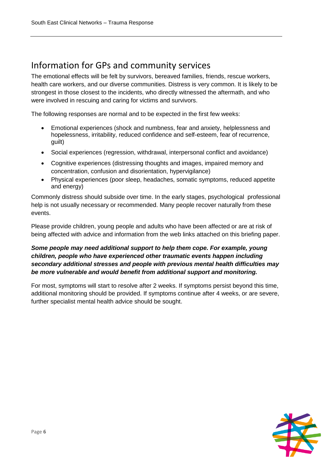### Information for GPs and community services

The emotional effects will be felt by survivors, bereaved families, friends, rescue workers, health care workers, and our diverse communities. Distress is very common. It is likely to be strongest in those closest to the incidents, who directly witnessed the aftermath, and who were involved in rescuing and caring for victims and survivors.

The following responses are normal and to be expected in the first few weeks:

- Emotional experiences (shock and numbness, fear and anxiety, helplessness and hopelessness, irritability, reduced confidence and self-esteem, fear of recurrence, guilt)
- Social experiences (regression, withdrawal, interpersonal conflict and avoidance)
- Cognitive experiences (distressing thoughts and images, impaired memory and concentration, confusion and disorientation, hypervigilance)
- Physical experiences (poor sleep, headaches, somatic symptoms, reduced appetite and energy)

Commonly distress should subside over time. In the early stages, psychological professional help is not usually necessary or recommended. Many people recover naturally from these events.

Please provide children, young people and adults who have been affected or are at risk of being affected with advice and information from the web links attached on this briefing paper.

### *Some people may need additional support to help them cope. For example, young children, people who have experienced other traumatic events happen including secondary additional stresses and people with previous mental health difficulties may be more vulnerable and would benefit from additional support and monitoring.*

For most, symptoms will start to resolve after 2 weeks. If symptoms persist beyond this time, additional monitoring should be provided. If symptoms continue after 4 weeks, or are severe, further specialist mental health advice should be sought.

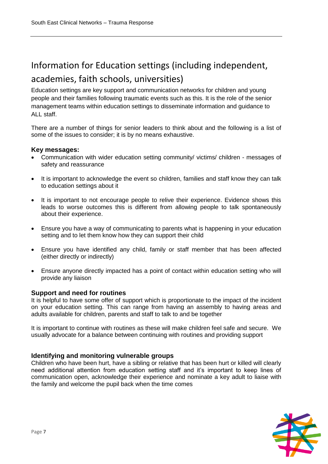### Information for Education settings (including independent, academies, faith schools, universities)

Education settings are key support and communication networks for children and young people and their families following traumatic events such as this. It is the role of the senior management teams within education settings to disseminate information and guidance to ALL staff.

There are a number of things for senior leaders to think about and the following is a list of some of the issues to consider; it is by no means exhaustive.

#### **Key messages:**

- Communication with wider education setting community/ victims/ children messages of safety and reassurance
- It is important to acknowledge the event so children, families and staff know they can talk to education settings about it
- It is important to not encourage people to relive their experience. Evidence shows this leads to worse outcomes this is different from allowing people to talk spontaneously about their experience.
- Ensure you have a way of communicating to parents what is happening in your education setting and to let them know how they can support their child
- Ensure you have identified any child, family or staff member that has been affected (either directly or indirectly)
- Ensure anyone directly impacted has a point of contact within education setting who will provide any liaison

#### **Support and need for routines**

It is helpful to have some offer of support which is proportionate to the impact of the incident on your education setting. This can range from having an assembly to having areas and adults available for children, parents and staff to talk to and be together

It is important to continue with routines as these will make children feel safe and secure. We usually advocate for a balance between continuing with routines and providing support

#### **Identifying and monitoring vulnerable groups**

Children who have been hurt, have a sibling or relative that has been hurt or killed will clearly need additional attention from education setting staff and it's important to keep lines of communication open, acknowledge their experience and nominate a key adult to liaise with the family and welcome the pupil back when the time comes

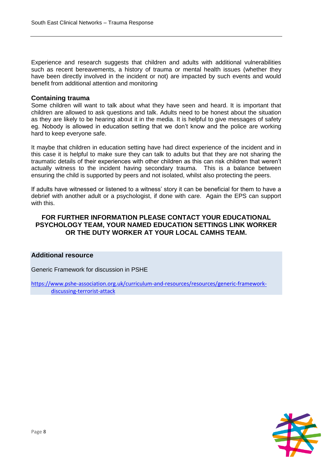Experience and research suggests that children and adults with additional vulnerabilities such as recent bereavements, a history of trauma or mental health issues (whether they have been directly involved in the incident or not) are impacted by such events and would benefit from additional attention and monitoring

#### **Containing trauma**

Some children will want to talk about what they have seen and heard. It is important that children are allowed to ask questions and talk. Adults need to be honest about the situation as they are likely to be hearing about it in the media. It is helpful to give messages of safety eg. Nobody is allowed in education setting that we don't know and the police are working hard to keep everyone safe.

It maybe that children in education setting have had direct experience of the incident and in this case it is helpful to make sure they can talk to adults but that they are not sharing the traumatic details of their experiences with other children as this can risk children that weren't actually witness to the incident having secondary trauma. This is a balance between ensuring the child is supported by peers and not isolated, whilst also protecting the peers.

If adults have witnessed or listened to a witness' story it can be beneficial for them to have a debrief with another adult or a psychologist, if done with care. Again the EPS can support with this.

#### **FOR FURTHER INFORMATION PLEASE CONTACT YOUR EDUCATIONAL PSYCHOLOGY TEAM, YOUR NAMED EDUCATION SETTINGS LINK WORKER OR THE DUTY WORKER AT YOUR LOCAL CAMHS TEAM.**

#### **Additional resource**

Generic Framework for discussion in PSHE

[https://www.pshe-association.org.uk/curriculum-and-resources/resources/generic-framework](https://www.pshe-association.org.uk/curriculum-and-resources/resources/generic-framework-discussing-terrorist-attack)[discussing-terrorist-attack](https://www.pshe-association.org.uk/curriculum-and-resources/resources/generic-framework-discussing-terrorist-attack)